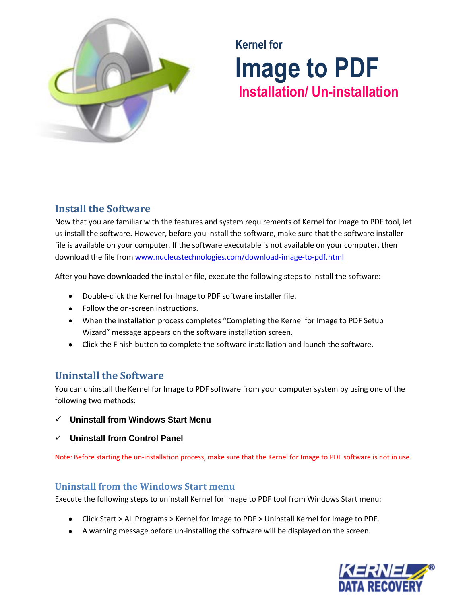

# **Kernel for Image to PDF Installation/ Un-installation**

## **Install the Software**

Now that you are familiar with the features and system requirements of Kernel for Image to PDF tool, let us install the software. However, before you install the software, make sure that the software installer file is available on your computer. If the software executable is not available on your computer, then download the file from [www.nucleustechnologies.com/download-image-to-pdf.html](http://www.nucleustechnologies.com/download-image-to-pdf.html)

After you have downloaded the installer file, execute the following steps to install the software:

- Double-click the Kernel for Image to PDF software installer file.
- Follow the on-screen instructions.
- When the installation process completes "Completing the Kernel for Image to PDF Setup Wizard" message appears on the software installation screen.
- Click the Finish button to complete the software installation and launch the software.

## **Uninstall the Software**

You can uninstall the Kernel for Image to PDF software from your computer system by using one of the following two methods:

- **Uninstall from Windows Start Menu**
- **Uninstall from Control Panel**

Note: Before starting the un-installation process, make sure that the Kernel for Image to PDF software is not in use.

### **Uninstall from the Windows Start menu**

Execute the following steps to uninstall Kernel for Image to PDF tool from Windows Start menu:

- Click Start > All Programs > Kernel for Image to PDF > Uninstall Kernel for Image to PDF.
- A warning message before un-installing the software will be displayed on the screen.